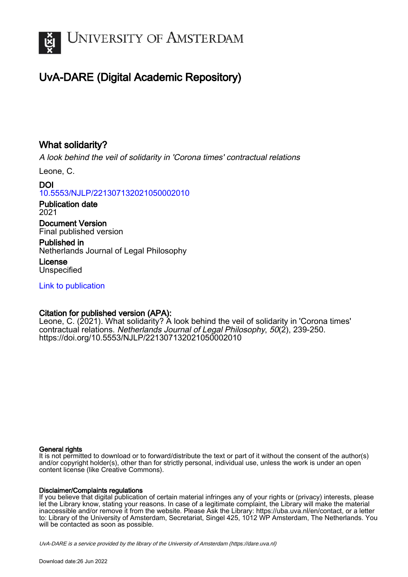

# UvA-DARE (Digital Academic Repository)

# What solidarity?

A look behind the veil of solidarity in 'Corona times' contractual relations

Leone, C.

DOI [10.5553/NJLP/221307132021050002010](https://doi.org/10.5553/NJLP/221307132021050002010)

Publication date 2021

Document Version Final published version

Published in Netherlands Journal of Legal Philosophy

License Unspecified

[Link to publication](https://dare.uva.nl/personal/pure/en/publications/what-solidarity(c70f81c9-039a-4c30-bb2e-8ce27760755f).html)

## Citation for published version (APA):

Leone, C. (2021). What solidarity? A look behind the veil of solidarity in 'Corona times' contractual relations. Netherlands Journal of Legal Philosophy, 50(2), 239-250. <https://doi.org/10.5553/NJLP/221307132021050002010>

## General rights

It is not permitted to download or to forward/distribute the text or part of it without the consent of the author(s) and/or copyright holder(s), other than for strictly personal, individual use, unless the work is under an open content license (like Creative Commons).

## Disclaimer/Complaints regulations

If you believe that digital publication of certain material infringes any of your rights or (privacy) interests, please let the Library know, stating your reasons. In case of a legitimate complaint, the Library will make the material inaccessible and/or remove it from the website. Please Ask the Library: https://uba.uva.nl/en/contact, or a letter to: Library of the University of Amsterdam, Secretariat, Singel 425, 1012 WP Amsterdam, The Netherlands. You will be contacted as soon as possible.

UvA-DARE is a service provided by the library of the University of Amsterdam (http*s*://dare.uva.nl)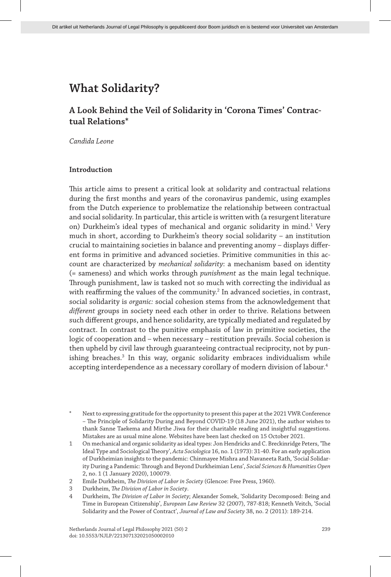## **A Look Behind the Veil of Solidarity in 'Corona Times' Contractual Relations\***

*Candida Leone*

### **Introduction**

This article aims to present a critical look at solidarity and contractual relations during the first months and years of the coronavirus pandemic, using examples from the Dutch experience to problematize the relationship between contractual and social solidarity. In particular, this article is written with (a resurgent literature on) Durkheim's ideal types of mechanical and organic solidarity in mind.<sup>1</sup> Very much in short, according to Durkheim's theory social solidarity – an institution crucial to maintaining societies in balance and preventing anomy – displays different forms in primitive and advanced societies. Primitive communities in this account are characterized by *mechanical solidarity*: a mechanism based on identity (= sameness) and which works through *punishment* as the main legal technique. Through punishment, law is tasked not so much with correcting the individual as with reaffirming the values of the community.<sup>2</sup> In advanced societies, in contrast, social solidarity is *organic:* social cohesion stems from the acknowledgement that *different* groups in society need each other in order to thrive. Relations between such different groups, and hence solidarity, are typically mediated and regulated by contract. In contrast to the punitive emphasis of law in primitive societies, the logic of cooperation and – when necessary – restitution prevails. Social cohesion is then upheld by civil law through guaranteeing contractual reciprocity, not by punishing breaches.<sup>3</sup> In this way, organic solidarity embraces individualism while accepting interdependence as a necessary corollary of modern division of labour.<sup>4</sup>

Next to expressing gratitude for the opportunity to present this paper at the 2021 VWR Conference – The Principle of Solidarity During and Beyond COVID-19 (18 June 2021), the author wishes to thank Sanne Taekema and Mirthe Jiwa for their charitable reading and insightful suggestions. Mistakes are as usual mine alone. Websites have been last checked on 15 October 2021.

1 On mechanical and organic solidarity as ideal types: Jon Hendricks and C. Breckinridge Peters, 'The Ideal Type and Sociological Theory', *Acta Sociologica* 16, no. 1 (1973): 31-40. For an early application of Durkheimian insights to the pandemic: Chinmayee Mishra and Navaneeta Rath, 'Social Solidarity During a Pandemic: Through and Beyond Durkheimian Lens', *Social Sciences & Humanities Open* 2, no. 1 (1 January 2020), 100079.

<sup>2</sup> Emile Durkheim, *The Division of Labor in Society* (Glencoe: Free Press, 1960).

<sup>3</sup> Durkheim, *The Division of Labor in Society*.

<sup>4</sup> Durkheim, *The Division of Labor in Society*; Alexander Somek, 'Solidarity Decomposed: Being and Time in European Citizenship', *European Law Review* 32 (2007), 787-818; Kenneth Veitch, 'Social Solidarity and the Power of Contract', *Journal of Law and Society* 38, no. 2 (2011): 189-214.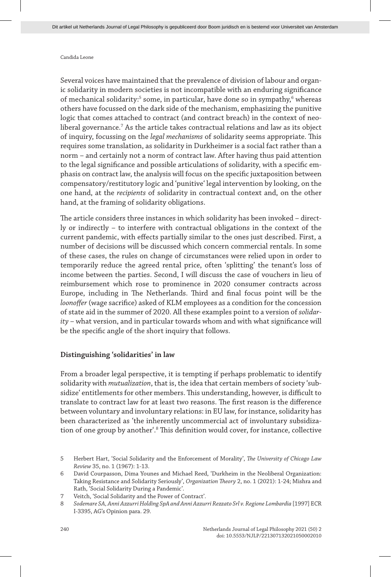Several voices have maintained that the prevalence of division of labour and organic solidarity in modern societies is not incompatible with an enduring significance of mechanical solidarity:<sup>5</sup> some, in particular, have done so in sympathy,<sup>6</sup> whereas others have focussed on the dark side of the mechanism, emphasizing the punitive logic that comes attached to contract (and contract breach) in the context of neoliberal governance.<sup>7</sup> As the article takes contractual relations and law as its object of inquiry, focussing on the *legal mechanisms* of solidarity seems appropriate. This requires some translation, as solidarity in Durkheimer is a social fact rather than a norm – and certainly not a norm of contract law. After having thus paid attention to the legal significance and possible articulations of solidarity, with a specific emphasis on contract law, the analysis will focus on the specific juxtaposition between compensatory/restitutory logic and 'punitive' legal intervention by looking, on the one hand, at the *recipients* of solidarity in contractual context and, on the other hand, at the framing of solidarity obligations.

The article considers three instances in which solidarity has been invoked – directly or indirectly – to interfere with contractual obligations in the context of the current pandemic, with effects partially similar to the ones just described. First, a number of decisions will be discussed which concern commercial rentals. In some of these cases, the rules on change of circumstances were relied upon in order to temporarily reduce the agreed rental price, often 'splitting' the tenant's loss of income between the parties. Second, I will discuss the case of vouchers in lieu of reimbursement which rose to prominence in 2020 consumer contracts across Europe, including in The Netherlands. Third and final focus point will be the *loonoffer* (wage sacrifice) asked of KLM employees as a condition for the concession of state aid in the summer of 2020. All these examples point to a version of *solidarity* – what version, and in particular towards whom and with what significance will be the specific angle of the short inquiry that follows.

#### **Distinguishing 'solidarities' in law**

From a broader legal perspective, it is tempting if perhaps problematic to identify solidarity with *mutualization*, that is, the idea that certain members of society 'subsidize' entitlements for other members. This understanding, however, is difficult to translate to contract law for at least two reasons. The first reason is the difference between voluntary and involuntary relations: in EU law, for instance, solidarity has been characterized as 'the inherently uncommercial act of involuntary subsidization of one group by another<sup>4</sup>.<sup>8</sup> This definition would cover, for instance, collective

<sup>5</sup> Herbert Hart, 'Social Solidarity and the Enforcement of Morality', *The University of Chicago Law Review* 35, no. 1 (1967): 1-13.

<sup>6</sup> David Courpasson, Dima Younes and Michael Reed, 'Durkheim in the Neoliberal Organization: Taking Resistance and Solidarity Seriously', *Organization Theory* 2, no. 1 (2021): 1-24; Mishra and Rath, 'Social Solidarity During a Pandemic'.

<sup>7</sup> Veitch, 'Social Solidarity and the Power of Contract'.

<sup>8</sup> *Sodemare SA, Anni Azzurri Holding SpA and Anni Azzurri Rezzato Srl v. Regione Lombardia* [1997] ECR I-3395, AG's Opinion para. 29.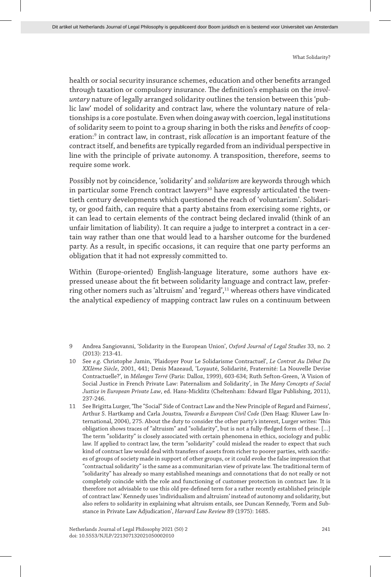health or social security insurance schemes, education and other benefits arranged through taxation or compulsory insurance. The definition's emphasis on the *involuntary* nature of legally arranged solidarity outlines the tension between this 'public law' model of solidarity and contract law, where the voluntary nature of relationships is a core postulate. Even when doing away with coercion, legal institutions of solidarity seem to point to a group sharing in both the risks and *benefits* of cooperation:<sup>9</sup> in contract law, in contrast, risk *allocation* is an important feature of the contract itself, and benefits are typically regarded from an individual perspective in line with the principle of private autonomy. A transposition, therefore, seems to require some work.

Possibly not by coincidence, 'solidarity' and *solidarism* are keywords through which in particular some French contract lawyers<sup>10</sup> have expressly articulated the twentieth century developments which questioned the reach of 'voluntarism'. Solidarity, or good faith, can require that a party abstains from exercising some rights, or it can lead to certain elements of the contract being declared invalid (think of an unfair limitation of liability). It can require a judge to interpret a contract in a certain way rather than one that would lead to a harsher outcome for the burdened party. As a result, in specific occasions, it can require that one party performs an obligation that it had not expressly committed to.

Within (Europe-oriented) English-language literature, some authors have expressed unease about the fit between solidarity language and contract law, preferring other nomers such as 'altruism' and 'regard',<sup>11</sup> whereas others have vindicated the analytical expediency of mapping contract law rules on a continuum between

<sup>9</sup> Andrea Sangiovanni, 'Solidarity in the European Union', *Oxford Journal of Legal Studies* 33, no. 2 (2013): 213-41.

<sup>10</sup> See *e.g*. Christophe Jamin, 'Plaidoyer Pour Le Solidarisme Contractuel', *Le Contrat Au Début Du XXIème Siècle*, 2001, 441; Denis Mazeaud, 'Loyauté, Solidarité, Fraternité: La Nouvelle Devise Contractuelle?', in *Mélanges Terré* (Paris: Dalloz, 1999), 603-634; Ruth Sefton-Green, 'A Vision of Social Justice in French Private Law: Paternalism and Solidarity', in *The Many Concepts of Social Justice in European Private Law*, ed. Hans-Micklitz (Cheltenham: Edward Elgar Publishing, 2011), 237-246.

<sup>11</sup> See Brigitta Lurger, 'The "Social" Side of Contract Law and the New Principle of Regard and Fairness', Arthur S. Hartkamp and Carla Joustra*, Towards a European Civil Code* (Den Haag: Kluwer Law International, 2004), 275. About the duty to consider the other party's interest, Lurger writes: 'This obligation shows traces of "altruism" and "solidarity", but is not a fully-fledged form of these. […] The term "solidarity" is closely associated with certain phenomena in ethics, sociology and public law. If applied to contract law, the term "solidarity" could mislead the reader to expect that such kind of contract law would deal with transfers of assets from richer to poorer parties, with sacrifices of groups of society made in support of other groups, or it could evoke the false impression that "contractual solidarity" is the same as a communitarian view of private law. The traditional term of "solidarity" has already so many established meanings and connotations that do not really or not completely coincide with the role and functioning of customer protection in contract law. It is therefore not advisable to use this old pre-defined term for a rather recently established principle of contract law.' Kennedy uses 'individualism and altruism' instead of autonomy and solidarity, but also refers to solidarity in explaining what altruism entails, see Duncan Kennedy, 'Form and Substance in Private Law Adjudication', *Harvard Law Review* 89 (1975): 1685.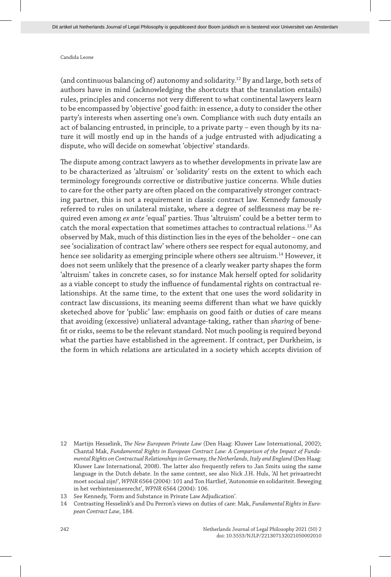(and continuous balancing of) autonomy and solidarity.12 By and large, both sets of authors have in mind (acknowledging the shortcuts that the translation entails) rules, principles and concerns not very different to what continental lawyers learn to be encompassed by 'objective' good faith: in essence, a duty to consider the other party's interests when asserting one's own. Compliance with such duty entails an act of balancing entrusted, in principle, to a private party – even though by its nature it will mostly end up in the hands of a judge entrusted with adjudicating a dispute, who will decide on somewhat 'objective' standards.

The dispute among contract lawyers as to whether developments in private law are to be characterized as 'altruism' or 'solidarity' rests on the extent to which each terminology foregrounds corrective or distributive justice concerns. While duties to care for the other party are often placed on the comparatively stronger contracting partner, this is not a requirement in classic contract law. Kennedy famously referred to rules on unilateral mistake, where a degree of selflessness may be required even among *ex ante* 'equal' parties. Thus 'altruism' could be a better term to catch the moral expectation that sometimes attaches to contractual relations.13 As observed by Mak, much of this distinction lies in the eyes of the beholder – one can see 'socialization of contract law' where others see respect for equal autonomy, and hence see solidarity as emerging principle where others see altruism.<sup>14</sup> However, it does not seem unlikely that the presence of a clearly weaker party shapes the form 'altruism' takes in concrete cases, so for instance Mak herself opted for solidarity as a viable concept to study the influence of fundamental rights on contractual relationships. At the same time, to the extent that one uses the word solidarity in contract law discussions, its meaning seems different than what we have quickly sketeched above for 'public' law: emphasis on good faith or duties of care means that avoiding (excessive) unliateral advantage-taking, rather than *sharing* of benefit or risks, seems to be the relevant standard. Not much pooling is required beyond what the parties have established in the agreement. If contract, per Durkheim, is the form in which relations are articulated in a society which accepts division of

<sup>12</sup> Martijn Hesselink, *The New European Private Law* (Den Haag: Kluwer Law International, 2002); Chantal Mak, *Fundamental Rights in European Contract Law: A Comparison of the Impact of Fundamental Rights on Contractual Relationships in Germany, the Netherlands, Italy and England* (Den Haag: Kluwer Law International, 2008). The latter also frequently refers to Jan Smits using the same language in the Dutch debate. In the same context, see also Nick J.H. Huls, 'Al het privaatrecht moet sociaal zijn!', *WPNR* 6564 (2004): 101 and Ton Hartlief, 'Autonomie en solidariteit. Beweging in het verbintenissenrecht', *WPNR* 6564 (2004): 106.

<sup>13</sup> See Kennedy, 'Form and Substance in Private Law Adjudication'.

<sup>14</sup> Contrasting Hesselink's and Du Perron's views on duties of care: Mak, *Fundamental Rights in European Contract Law*, 184.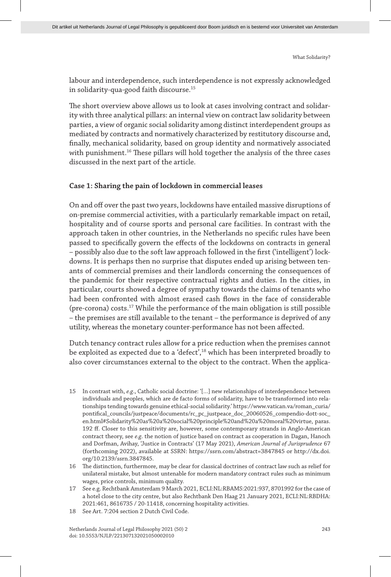labour and interdependence, such interdependence is not expressly acknowledged in solidarity-qua-good faith discourse.<sup>15</sup>

The short overview above allows us to look at cases involving contract and solidarity with three analytical pillars: an internal view on contract law solidarity between parties, a view of organic social solidarity among distinct interdependent groups as mediated by contracts and normatively characterized by restitutory discourse and, finally, mechanical solidarity, based on group identity and normatively associated with punishment.<sup>16</sup> These pillars will hold together the analysis of the three cases discussed in the next part of the article.

## **Case 1: Sharing the pain of lockdown in commercial leases**

On and off over the past two years, lockdowns have entailed massive disruptions of on-premise commercial activities, with a particularly remarkable impact on retail, hospitality and of course sports and personal care facilities. In contrast with the approach taken in other countries, in the Netherlands no specific rules have been passed to specifically govern the effects of the lockdowns on contracts in general – possibly also due to the soft law approach followed in the first ('intelligent') lockdowns. It is perhaps then no surprise that disputes ended up arising between tenants of commercial premises and their landlords concerning the consequences of the pandemic for their respective contractual rights and duties. In the cities, in particular, courts showed a degree of sympathy towards the claims of tenants who had been confronted with almost erased cash flows in the face of considerable  $(pre-corona) \text{ costs.}^{17}$  While the performance of the main obligation is still possible – the premises are still available to the tenant – the performance is deprived of any utility, whereas the monetary counter-performance has not been affected.

Dutch tenancy contract rules allow for a price reduction when the premises cannot be exploited as expected due to a 'defect',18 which has been interpreted broadly to also cover circumstances external to the object to the contract. When the applica-

- 15 In contrast with, *e.g*., Catholic social doctrine: '[…] new relationships of interdependence between individuals and peoples, which are de facto forms of solidarity, have to be transformed into relationships tending towards genuine ethical-social solidarity.' https://www.vatican.va/roman\_curia/ pontifical\_councils/justpeace/documents/rc\_pc\_justpeace\_doc\_20060526\_compendio-dott-soc\_ en.html#Solidarity%20as%20a%20social%20principle%20and%20a%20moral%20virtue, paras. 192 ff. Closer to this sensitivity are, however, some contemporary strands in Anglo-American contract theory, see *e.g*. the notion of justice based on contract as cooperation in Dagan, Hanoch and Dorfman, Avihay, 'Justice in Contracts' (17 May 2021), *American Journal of Jurisprudence* 67 (forthcoming 2022), available at SSRN: https://ssrn.com/abstract=3847845 or http://dx.doi. org/10.2139/ssrn.3847845.
- 16 The distinction, furthermore, may be clear for classical doctrines of contract law such as relief for unilateral mistake, but almost untenable for modern mandatory contract rules such as minimum wages, price controls, minimum quality.
- 17 See e.g. Rechtbank Amsterdam 9 March 2021, ECLI:NL:RBAMS:2021:937, 8701992 for the case of a hotel close to the city centre, but also Rechtbank Den Haag 21 January 2021, ECLI:NL:RBDHA: 2021:461, 8616735 / 20-11418, concerning hospitality activities.
- 18 See Art. 7:204 section 2 Dutch Civil Code.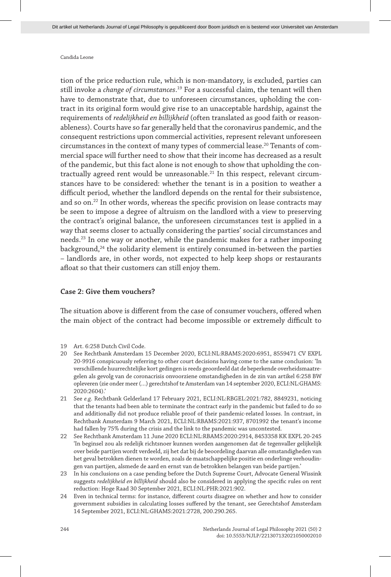tion of the price reduction rule, which is non-mandatory, is excluded, parties can still invoke a *change of circumstances*. 19 For a successful claim, the tenant will then have to demonstrate that, due to unforeseen circumstances, upholding the contract in its original form would give rise to an unacceptable hardship, against the requirements of *redelijkheid en billijkheid* (often translated as good faith or reasonableness). Courts have so far generally held that the coronavirus pandemic, and the consequent restrictions upon commercial activities, represent relevant unforeseen circumstances in the context of many types of commercial lease.20 Tenants of commercial space will further need to show that their income has decreased as a result of the pandemic, but this fact alone is not enough to show that upholding the contractually agreed rent would be unreasonable.<sup>21</sup> In this respect, relevant circumstances have to be considered: whether the tenant is in a position to weather a difficult period, whether the landlord depends on the rental for their subsistence, and so on.22 In other words, whereas the specific provision on lease contracts may be seen to impose a degree of altruism on the landlord with a view to preserving the contract's original balance, the unforeseen circumstances test is applied in a way that seems closer to actually considering the parties' social circumstances and needs.23 In one way or another, while the pandemic makes for a rather imposing background,24 the solidarity element is entirely consumed in-between the parties – landlords are, in other words, not expected to help keep shops or restaurants afloat so that their customers can still enjoy them.

### **Case 2: Give them vouchers?**

The situation above is different from the case of consumer vouchers, offered when the main object of the contract had become impossible or extremely difficult to

- 19 Art. 6:258 Dutch Civil Code.
- 20 See Rechtbank Amsterdam 15 December 2020, ECLI:NL:RBAMS:2020:6951, 8559471 CV EXPL 20-9916 conspicuously referring to other court decisions having come to the same conclusion: 'In verschillende huurrechtelijke kort gedingen is reeds geoordeeld dat de beperkende overheidsmaatregelen als gevolg van de coronacrisis onvoorziene omstandigheden in de zin van artikel 6:258 BW opleveren (zie onder meer (…) gerechtshof te Amsterdam van 14 september 2020, ECLI:NL:GHAMS: 2020:2604).'
- 21 See *e.g*. Rechtbank Gelderland 17 February 2021, ECLI:NL:RBGEL:2021:782, 8849231, noticing that the tenants had been able to terminate the contract early in the pandemic but failed to do so and additionally did not produce reliable proof of their pandemic-related losses. In contrast, in Rechtbank Amsterdam 9 March 2021, ECLI:NL:RBAMS:2021:937, 8701992 the tenant's income had fallen by 75% during the crisis and the link to the pandemic was uncontested.
- 22 See Rechtbank Amsterdam 11 June 2020 ECLI:NL:RBAMS:2020:2914, 8453358 KK EXPL 20-245 'In beginsel zou als redelijk richtsnoer kunnen worden aangenomen dat de tegenvaller gelijkelijk over beide partijen wordt verdeeld, zij het dat bij de beoordeling daarvan alle omstandigheden van het geval betrokken dienen te worden, zoals de maatschappelijke positie en onderlinge verhoudingen van partijen, alsmede de aard en ernst van de betrokken belangen van beide partijen.'
- 23 In his conclusions on a case pending before the Dutch Supreme Court, Advocate General Wissink suggests *redelijkheid en billijkheid* should also be considered in applying the specific rules on rent reduction: Hoge Raad 30 September 2021, ECLI:NL:PHR:2021:902.
- 24 Even in technical terms: for instance, different courts disagree on whether and how to consider government subsidies in calculating losses suffered by the tenant, see Gerechtshof Amsterdam 14 September 2021, ECLI:NL:GHAMS:2021:2728, 200.290.265.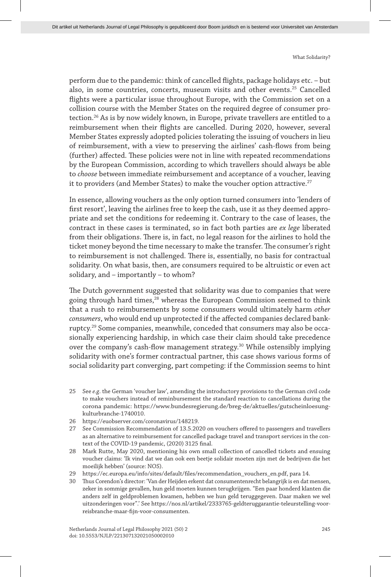perform due to the pandemic: think of cancelled flights, package holidays etc. – but also, in some countries, concerts, museum visits and other events.<sup>25</sup> Cancelled flights were a particular issue throughout Europe, with the Commission set on a collision course with the Member States on the required degree of consumer protection.26 As is by now widely known, in Europe, private travellers are entitled to a reimbursement when their flights are cancelled. During 2020, however, several Member States expressly adopted policies tolerating the issuing of vouchers in lieu of reimbursement, with a view to preserving the airlines' cash-flows from being (further) affected. These policies were not in line with repeated recommendations by the European Commission, according to which travellers should always be able to *choose* between immediate reimbursement and acceptance of a voucher, leaving it to providers (and Member States) to make the voucher option attractive.<sup>27</sup>

In essence, allowing vouchers as the only option turned consumers into 'lenders of first resort', leaving the airlines free to keep the cash, use it as they deemed appropriate and set the conditions for redeeming it. Contrary to the case of leases, the contract in these cases is terminated, so in fact both parties are *ex lege* liberated from their obligations. There is, in fact, no legal reason for the airlines to hold the ticket money beyond the time necessary to make the transfer. The consumer's right to reimbursement is not challenged. There is, essentially, no basis for contractual solidarity. On what basis, then, are consumers required to be altruistic or even act solidary, and – importantly – to whom?

The Dutch government suggested that solidarity was due to companies that were going through hard times,<sup>28</sup> whereas the European Commission seemed to think that a rush to reimbursements by some consumers would ultimately harm *other consumers*, who would end up unprotected if the affected companies declared bankruptcy.29 Some companies, meanwhile, conceded that consumers may also be occasionally experiencing hardship, in which case their claim should take precedence over the company's cash-flow management strategy.30 While ostensibly implying solidarity with one's former contractual partner, this case shows various forms of social solidarity part converging, part competing: if the Commission seems to hint

- 25 See *e.g*. the German 'voucher law', amending the introductory provisions to the German civil code to make vouchers instead of reminbursement the standard reaction to cancellations during the corona pandemic: https://www.bundesregierung.de/breg-de/aktuelles/gutscheinloesungkulturbranche-1740010.
- 26 https://euobserver.com/coronavirus/148219.
- 27 See Commission Recommendation of 13.5.2020 on vouchers offered to passengers and travellers as an alternative to reimbursement for cancelled package travel and transport services in the context of the COVID-19 pandemic, (2020) 3125 final.
- 28 Mark Rutte, May 2020, mentioning his own small collection of cancelled tickets and ensuing voucher claims: 'Ik vind dat we dan ook een beetje solidair moeten zijn met de bedrijven die het moeilijk hebben' (source: NOS).
- 29 https://ec.europa.eu/info/sites/default/files/recommendation\_vouchers\_en.pdf, para 14.
- 30 Thus Corendon's director: 'Van der Heijden erkent dat consumentenrecht belangrijk is en dat mensen, zeker in sommige gevallen, hun geld moeten kunnen terugkrijgen. "Een paar honderd klanten die anders zelf in geldproblemen kwamen, hebben we hun geld teruggegeven. Daar maken we wel uitzonderingen voor".' See https://nos.nl/artikel/2333765-geldteruggarantie-teleurstelling-voorreisbranche-maar-fijn-voor-consumenten.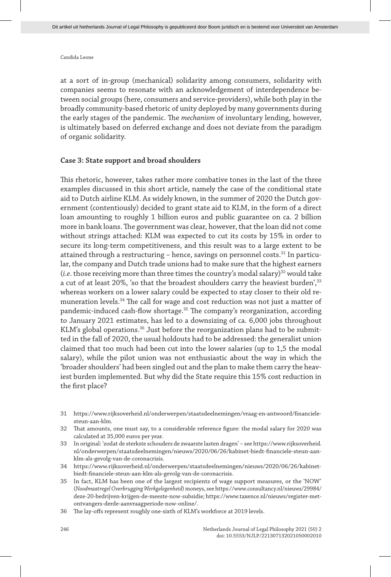at a sort of in-group (mechanical) solidarity among consumers, solidarity with companies seems to resonate with an acknowledgement of interdependence between social groups (here, consumers and service-providers), while both play in the broadly community-based rhetoric of unity deployed by many governments during the early stages of the pandemic. The *mechanism* of involuntary lending, however, is ultimately based on deferred exchange and does not deviate from the paradigm of organic solidarity.

#### **Case 3: State support and broad shoulders**

This rhetoric, however, takes rather more combative tones in the last of the three examples discussed in this short article, namely the case of the conditional state aid to Dutch airline KLM. As widely known, in the summer of 2020 the Dutch government (contentiously) decided to grant state aid to KLM, in the form of a direct loan amounting to roughly 1 billion euros and public guarantee on ca. 2 billion more in bank loans. The government was clear, however, that the loan did not come without strings attached: KLM was expected to cut its costs by 15% in order to secure its long-term competitiveness, and this result was to a large extent to be attained through a restructuring - hence, savings on personnel costs.<sup>31</sup> In particular, the company and Dutch trade unions had to make sure that the highest earners (*i.e.* those receiving more than three times the country's modal salary)<sup>32</sup> would take a cut of at least 20%, 'so that the broadest shoulders carry the heaviest burden', <sup>33</sup> whereas workers on a lower salary could be expected to stay closer to their old remuneration levels.34 The call for wage and cost reduction was not just a matter of pandemic-induced cash-flow shortage.35 The company's reorganization, according to January 2021 estimates, has led to a downsizing of ca. 6,000 jobs throughout KLM's global operations.<sup>36</sup> Just before the reorganization plans had to be submitted in the fall of 2020, the usual holdouts had to be addressed: the generalist union claimed that too much had been cut into the lower salaries (up to 1,5 the modal salary), while the pilot union was not enthusiastic about the way in which the 'broader shoulders' had been singled out and the plan to make them carry the heaviest burden implemented. But why did the State require this 15% cost reduction in the first place?

- 31 https://www.rijksoverheid.nl/onderwerpen/staatsdeelnemingen/vraag-en-antwoord/financielesteun-aan-klm.
- 32 That amounts, one must say, to a considerable reference figure: the modal salary for 2020 was calculated at 35,000 euros per year.
- 33 In original: 'zodat de sterkste schouders de zwaarste lasten dragen' see https://www.rijksoverheid. nl/onderwerpen/staatsdeelnemingen/nieuws/2020/06/26/kabinet-biedt-financiele-steun-aanklm-als-gevolg-van-de-coronacrisis.
- 34 https://www.rijksoverheid.nl/onderwerpen/staatsdeelnemingen/nieuws/2020/06/26/kabinetbiedt-financiele-steun-aan-klm-als-gevolg-van-de-coronacrisis.
- 35 In fact, KLM has been one of the largest recipients of wage support measures, or the 'NOW' (*Noodmaatregel Overbrugging Werkgelegenheid*) moneys, see https://www.consultancy.nl/nieuws/29984/ deze-20-bedrijven-krijgen-de-meeste-now-subsidie; https://www.taxence.nl/nieuws/register-metontvangers-derde-aanvraagperiode-now-online/.
- 36 The lay-offs represent roughly one-sixth of KLM's workforce at 2019 levels.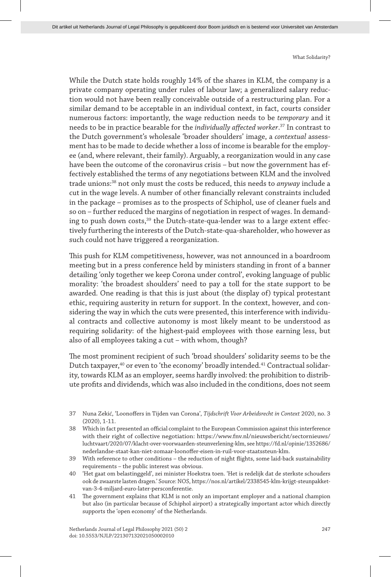While the Dutch state holds roughly 14% of the shares in KLM, the company is a private company operating under rules of labour law; a generalized salary reduction would not have been really conceivable outside of a restructuring plan. For a similar demand to be acceptable in an individual context, in fact, courts consider numerous factors: importantly, the wage reduction needs to be *temporary* and it needs to be in practice bearable for the *individually affected worker*. 37 In contrast to the Dutch government's wholesale 'broader shoulders' image, a *contextual* assessment has to be made to decide whether a loss of income is bearable for the employee (and, where relevant, their family). Arguably, a reorganization would in any case have been the outcome of the coronavirus crisis – but now the government has effectively established the terms of any negotiations between KLM and the involved trade unions:38 not only must the costs be reduced, this needs to *anyway* include a cut in the wage levels. A number of other financially relevant constraints included in the package – promises as to the prospects of Schiphol, use of cleaner fuels and so on – further reduced the margins of negotiation in respect of wages. In demanding to push down costs,<sup>39</sup> the Dutch-state-qua-lender was to a large extent effectively furthering the interests of the Dutch-state-qua-shareholder, who however as such could not have triggered a reorganization.

This push for KLM competitiveness, however, was not announced in a boardroom meeting but in a press conference held by ministers standing in front of a banner detailing 'only together we keep Corona under control', evoking language of public morality: 'the broadest shoulders' need to pay a toll for the state support to be awarded. One reading is that this is just about (the display of) typical protestant ethic, requiring austerity in return for support. In the context, however, and considering the way in which the cuts were presented, this interference with individual contracts and collective autonomy is most likely meant to be understood as requiring solidarity: of the highest-paid employees with those earning less, but also of all employees taking a cut – with whom, though?

The most prominent recipient of such 'broad shoulders' solidarity seems to be the Dutch taxpayer,<sup>40</sup> or even to 'the economy' broadly intended.<sup>41</sup> Contractual solidarity, towards KLM as an employer, seems hardly involved: the prohibition to distribute profits and dividends, which was also included in the conditions, does not seem

41 The government explains that KLM is not only an important employer and a national champion but also (in particular because of Schiphol airport) a strategically important actor which directly supports the 'open economy' of the Netherlands.

<sup>37</sup> Nuna Zekić, 'Loonoffers in Tijden van Corona', *Tijdschrift Voor Arbeidsrecht in Context* 2020, no. 3 (2020), 1-11.

<sup>38</sup> Which in fact presented an official complaint to the European Commission against this interference with their right of collective negotiation: https://www.fnv.nl/nieuwsbericht/sectornieuws/ luchtvaart/2020/07/klacht-over-voorwaarden-steunverlening-klm, see https://fd.nl/opinie/1352686/ nederlandse-staat-kan-niet-zomaar-loonoffer-eisen-in-ruil-voor-staatssteun-klm.

<sup>39</sup> With reference to other conditions – the reduction of night flights, some laid-back sustainability requirements – the public interest was obvious.

<sup>40</sup> 'Het gaat om belastinggeld', zei minister Hoekstra toen. 'Het is redelijk dat de sterkste schouders ook de zwaarste lasten dragen.' Source: NOS, https://nos.nl/artikel/2338545-klm-krijgt-steunpakketvan-3-4-miljard-euro-later-persconferentie.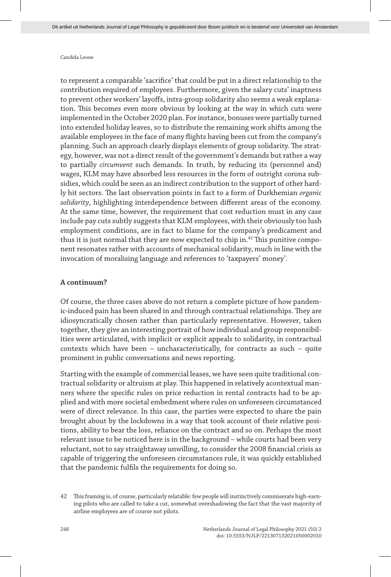to represent a comparable 'sacrifice' that could be put in a direct relationship to the contribution required of employees. Furthermore, given the salary cuts' inaptness to prevent other workers' layoffs, intra-group solidarity also seems a weak explanation. This becomes even more obvious by looking at the way in which cuts were implemented in the October 2020 plan. For instance, bonuses were partially turned into extended holiday leaves, so to distribute the remaining work shifts among the available employees in the face of many flights having been cut from the company's planning. Such an approach clearly displays elements of group solidarity. The strategy, however, was not a direct result of the government's demands but rather a way to partially *circumvent* such demands. In truth, by reducing its (personnel and) wages, KLM may have absorbed less resources in the form of outright corona subsidies, which could be seen as an indirect contribution to the support of other hardly hit sectors. The last observation points in fact to a form of Durkhemian *organic solidarity*, highlighting interdependence between different areas of the economy. At the same time, however, the requirement that cost reduction must in any case include pay cuts subtly suggests that KLM employees, with their obviously too lush employment conditions, are in fact to blame for the company's predicament and thus it is just normal that they are now expected to chip in.<sup>42</sup> This punitive component resonates rather with accounts of mechanical solidarity, much in line with the invocation of moralising language and references to 'taxpayers' money'.

#### **A continuum?**

Of course, the three cases above do not return a complete picture of how pandemic-induced pain has been shared in and through contractual relationships. They are idiosyncratically chosen rather than particularly representative. However, taken together, they give an interesting portrait of how individual and group responsibilities were articulated, with implicit or explicit appeals to solidarity, in contractual contexts which have been – uncharacteristically, for contracts as such – quite prominent in public conversations and news reporting.

Starting with the example of commercial leases, we have seen quite traditional contractual solidarity or altruism at play. This happened in relatively acontextual manners where the specific rules on price reduction in rental contracts had to be applied and with more societal embedment where rules on unforeseen circumstanced were of direct relevance. In this case, the parties were expected to share the pain brought about by the lockdowns in a way that took account of their relative positions, ability to bear the loss, reliance on the contract and so on. Perhaps the most relevant issue to be noticed here is in the background – while courts had been very reluctant, not to say straightaway unwilling, to consider the 2008 financial crisis as capable of triggering the unforeseen circumstances rule, it was quickly established that the pandemic fulfils the requirements for doing so.

<sup>42</sup> This framing is, of course, particularly relatable: few people will instinctively commiserate high-earning pilots who are called to take a cut, somewhat overshadowing the fact that the vast majority of airline employees are of course not pilots.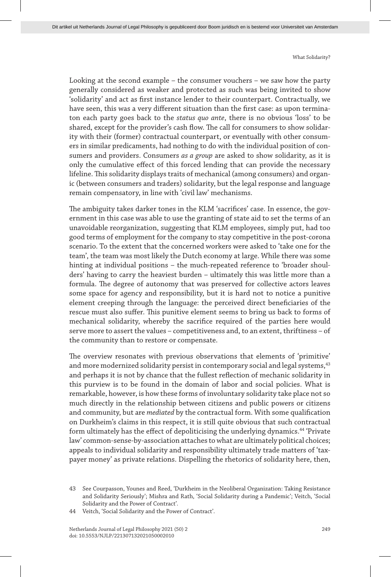Looking at the second example – the consumer vouchers – we saw how the party generally considered as weaker and protected as such was being invited to show 'solidarity' and act as first instance lender to their counterpart. Contractually, we have seen, this was a very different situation than the first case: as upon terminaton each party goes back to the *status quo ante*, there is no obvious 'loss' to be shared, except for the provider's cash flow. The call for consumers to show solidarity with their (former) contractual counterpart, or eventually with other consumers in similar predicaments, had nothing to do with the individual position of consumers and providers. Consumers *as a group* are asked to show solidarity, as it is only the cumulative effect of this forced lending that can provide the necessary lifeline. This solidarity displays traits of mechanical (among consumers) and organic (between consumers and traders) solidarity, but the legal response and language remain compensatory, in line with 'civil law' mechanisms.

The ambiguity takes darker tones in the KLM 'sacrifices' case. In essence, the government in this case was able to use the granting of state aid to set the terms of an unavoidable reorganization, suggesting that KLM employees, simply put, had too good terms of employment for the company to stay competitive in the post-corona scenario. To the extent that the concerned workers were asked to 'take one for the team', the team was most likely the Dutch economy at large. While there was some hinting at individual positions – the much-repeated reference to 'broader shoulders' having to carry the heaviest burden – ultimately this was little more than a formula. The degree of autonomy that was preserved for collective actors leaves some space for agency and responsibility, but it is hard not to notice a punitive element creeping through the language: the perceived direct beneficiaries of the rescue must also suffer. This punitive element seems to bring us back to forms of mechanical solidarity, whereby the sacrifice required of the parties here would serve more to assert the values – competitiveness and, to an extent, thriftiness – of the community than to restore or compensate.

The overview resonates with previous observations that elements of 'primitive' and more modernized solidarity persist in contemporary social and legal systems,  $43$ and perhaps it is not by chance that the fullest reflection of mechanic solidarity in this purview is to be found in the domain of labor and social policies. What is remarkable, however, is how these forms of involuntary solidarity take place not so much directly in the relationship between citizens and public powers or citizens and community, but are *mediated* by the contractual form. With some qualification on Durkheim's claims in this respect, it is still quite obvious that such contractual form ultimately has the effect of depoliticising the underlying dynamics.44 'Private law' common-sense-by-association attaches to what are ultimately political choices; appeals to individual solidarity and responsibility ultimately trade matters of 'taxpayer money' as private relations. Dispelling the rhetorics of solidarity here, then,

<sup>43</sup> See Courpasson, Younes and Reed, 'Durkheim in the Neoliberal Organization: Taking Resistance and Solidarity Seriously'; Mishra and Rath, 'Social Solidarity during a Pandemic'; Veitch, 'Social Solidarity and the Power of Contract'.

<sup>44</sup> Veitch, 'Social Solidarity and the Power of Contract'.